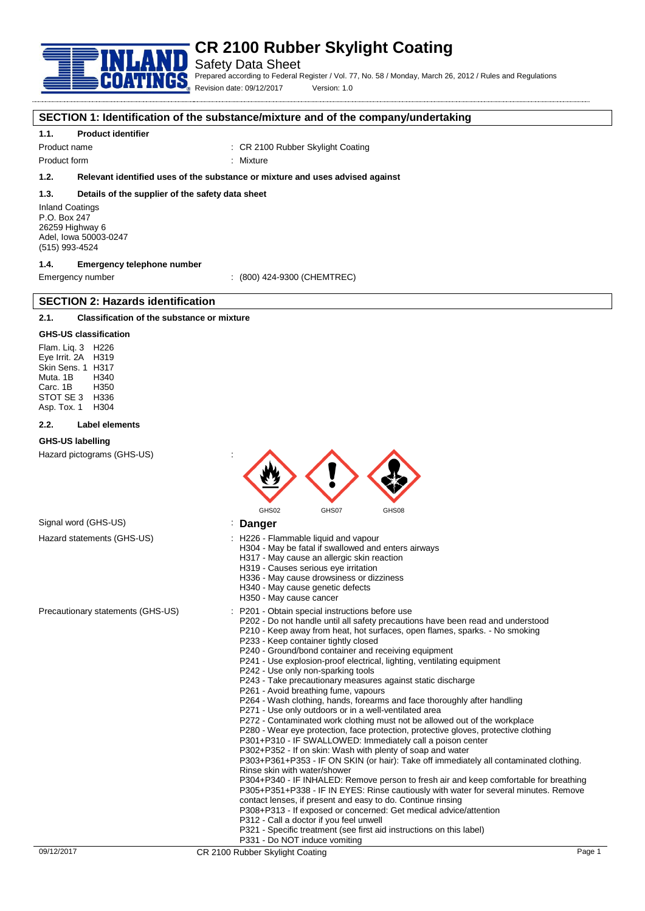

Safety Data Sheet

Prepared according to Federal Register / Vol. 77, No. 58 / Monday, March 26, 2012 / Rules and Regulations Revision date: 09/12/2017 Version: 1.0

#### **SECTION 1: Identification of the substance/mixture and of the company/undertaking**

#### **1.1. Product identifier**

Product name : CR 2100 Rubber Skylight Coating

Product form : Nixture

# **1.2. Relevant identified uses of the substance or mixture and uses advised against**

#### **1.3. Details of the supplier of the safety data sheet**

Inland Coatings P.O. Box 247 26259 Highway 6 Adel, Iowa 50003-0247 (515) 993-4524

# **1.4. Emergency telephone number**

**SECTION 2: Hazards identification**

Emergency number : (800) 424-9300 (CHEMTREC)

# **2.1. Classification of the substance or mixture**

#### **GHS-US classification**

Flam. Liq. 3 H226 Eye Irrit. 2A H319 Skin Sens. 1 H317 Muta. 1B H340 Carc. 1B H350 STOT SE 3 H336<br>Asp Tox 1 H304 Asp. Tox. 1

#### **2.2. Label elements**

#### **GHS-US labelling**

Hazard pictograms (GHS-US) :



# Signal word (GHS-US) **in the US** is **Danger**

- Hazard statements (GHS-US) : H226 Flammable liquid and vapour
	- H304 May be fatal if swallowed and enters airways
		- H317 May cause an allergic skin reaction
		- H319 Causes serious eye irritation
		- H336 May cause drowsiness or dizziness
		- H340 May cause genetic defects
		- H350 May cause cancer
- Precautionary statements (GHS-US) : P201 Obtain special instructions before use
	- P202 Do not handle until all safety precautions have been read and understood
	- P210 Keep away from heat, hot surfaces, open flames, sparks. No smoking P233 - Keep container tightly closed
	- P240 Ground/bond container and receiving equipment
	- P241 Use explosion-proof electrical, lighting, ventilating equipment
	- P242 Use only non-sparking tools
	- P243 Take precautionary measures against static discharge
	- P261 Avoid breathing fume, vapours
	- P264 Wash clothing, hands, forearms and face thoroughly after handling
	- P271 Use only outdoors or in a well-ventilated area
	- P272 Contaminated work clothing must not be allowed out of the workplace
	- P280 Wear eye protection, face protection, protective gloves, protective clothing
	- P301+P310 IF SWALLOWED: Immediately call a poison center
	- P302+P352 If on skin: Wash with plenty of soap and water

P303+P361+P353 - IF ON SKIN (or hair): Take off immediately all contaminated clothing. Rinse skin with water/shower

P304+P340 - IF INHALED: Remove person to fresh air and keep comfortable for breathing P305+P351+P338 - IF IN EYES: Rinse cautiously with water for several minutes. Remove contact lenses, if present and easy to do. Continue rinsing

- P308+P313 If exposed or concerned: Get medical advice/attention
- P312 Call a doctor if you feel unwell
- P321 Specific treatment (see first aid instructions on this label)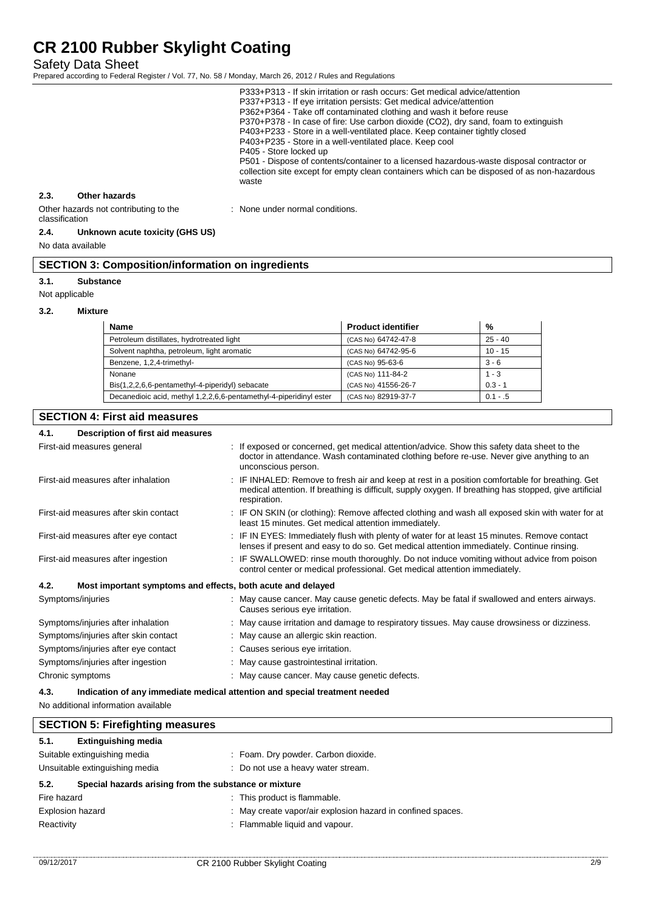Safety Data Sheet

Prepared according to Federal Register / Vol. 77, No. 58 / Monday, March 26, 2012 / Rules and Regulations

P333+P313 - If skin irritation or rash occurs: Get medical advice/attention P337+P313 - If eye irritation persists: Get medical advice/attention P362+P364 - Take off contaminated clothing and wash it before reuse P370+P378 - In case of fire: Use carbon dioxide (CO2), dry sand, foam to extinguish P403+P233 - Store in a well-ventilated place. Keep container tightly closed P403+P235 - Store in a well-ventilated place. Keep cool P405 - Store locked up P501 - Dispose of contents/container to a licensed hazardous-waste disposal contractor or collection site except for empty clean containers which can be disposed of as non-hazardous waste

## **2.3. Other hazards**

Other hazards not contributing to the classification

#### **2.4. Unknown acute toxicity (GHS US)**

No data available

# **SECTION 3: Composition/information on ingredients**

## **3.1. Substance**

Not applicable

#### **3.2. Mixture**

| <b>Name</b>                                                        | <b>Product identifier</b> | %          |
|--------------------------------------------------------------------|---------------------------|------------|
| Petroleum distillates, hydrotreated light                          | (CAS No) 64742-47-8       | $25 - 40$  |
| Solvent naphtha, petroleum, light aromatic                         | (CAS No) 64742-95-6       | $10 - 15$  |
| Benzene, 1,2,4-trimethyl-                                          | (CAS No) 95-63-6          | $3 - 6$    |
| Nonane                                                             | (CAS No) 111-84-2         | $1 - 3$    |
| Bis(1,2,2,6,6-pentamethyl-4-piperidyl) sebacate                    | (CAS No) 41556-26-7       | $0.3 - 1$  |
| Decanedioic acid, methyl 1,2,2,6,6-pentamethyl-4-piperidinyl ester | (CAS No) 82919-37-7       | $0.1 - .5$ |

: None under normal conditions.

## **SECTION 4: First aid measures**

| 4.1. | Description of first aid measures                           |                                                                                                                                                                                                                           |
|------|-------------------------------------------------------------|---------------------------------------------------------------------------------------------------------------------------------------------------------------------------------------------------------------------------|
|      | First-aid measures general                                  | : If exposed or concerned, get medical attention/advice. Show this safety data sheet to the<br>doctor in attendance. Wash contaminated clothing before re-use. Never give anything to an<br>unconscious person.           |
|      | First-aid measures after inhalation                         | : IF INHALED: Remove to fresh air and keep at rest in a position comfortable for breathing. Get<br>medical attention. If breathing is difficult, supply oxygen. If breathing has stopped, give artificial<br>respiration. |
|      | First-aid measures after skin contact                       | : IF ON SKIN (or clothing): Remove affected clothing and wash all exposed skin with water for at<br>least 15 minutes. Get medical attention immediately.                                                                  |
|      | First-aid measures after eye contact                        | : IF IN EYES: Immediately flush with plenty of water for at least 15 minutes. Remove contact<br>lenses if present and easy to do so. Get medical attention immediately. Continue rinsing.                                 |
|      | First-aid measures after ingestion                          | : IF SWALLOWED: rinse mouth thoroughly. Do not induce vomiting without advice from poison<br>control center or medical professional. Get medical attention immediately.                                                   |
| 4.2. | Most important symptoms and effects, both acute and delayed |                                                                                                                                                                                                                           |
|      | Symptoms/injuries                                           | : May cause cancer. May cause genetic defects. May be fatal if swallowed and enters airways.<br>Causes serious eye irritation.                                                                                            |
|      | Symptoms/injuries after inhalation                          | : May cause irritation and damage to respiratory tissues. May cause drowsiness or dizziness.                                                                                                                              |
|      | Symptoms/injuries after skin contact                        | : May cause an allergic skin reaction.                                                                                                                                                                                    |
|      | Symptoms/injuries after eye contact                         | : Causes serious eye irritation.                                                                                                                                                                                          |
|      | Symptoms/injuries after ingestion                           | : May cause gastrointestinal irritation.                                                                                                                                                                                  |
|      | Chronic symptoms                                            | : May cause cancer. May cause genetic defects.                                                                                                                                                                            |
| 4.3. |                                                             | Indication of any immediate medical attention and special treatment needed                                                                                                                                                |

No additional information available

| <b>SECTION 5: Firefighting measures</b>                              |                                                             |
|----------------------------------------------------------------------|-------------------------------------------------------------|
| 5.1.<br><b>Extinguishing media</b>                                   |                                                             |
| Suitable extinguishing media                                         | : Foam. Dry powder. Carbon dioxide.                         |
| Unsuitable extinguishing media<br>: Do not use a heavy water stream. |                                                             |
| 5.2.<br>Special hazards arising from the substance or mixture        |                                                             |
| Fire hazard                                                          | : This product is flammable.                                |
| <b>Explosion hazard</b>                                              | : May create vapor/air explosion hazard in confined spaces. |
| Reactivity                                                           | : Flammable liquid and vapour.                              |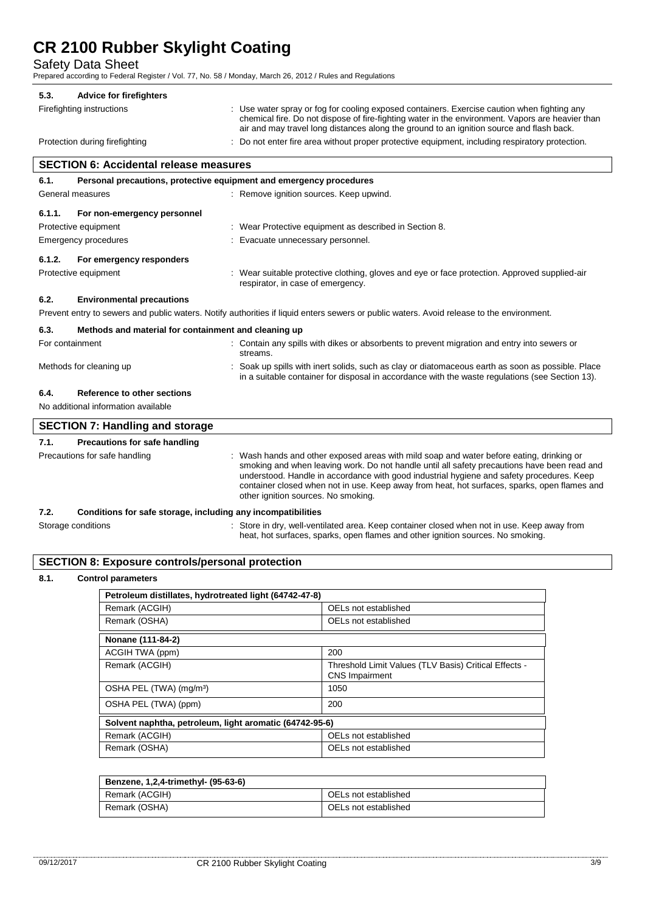Safety Data Sheet

Prepared according to Federal Register / Vol. 77, No. 58 / Monday, March 26, 2012 / Rules and Regulations

# **5.3. Advice for firefighters**

Firefighting instructions : Use water spray or fog for cooling exposed containers. Exercise caution when fighting any chemical fire. Do not dispose of fire-fighting water in the environment. Vapors are heavier than air and may travel long distances along the ground to an ignition source and flash back.

in a suitable container for disposal in accordance with the waste regulations (see Section 13).

Protection during firefighting : Do not enter fire area without proper protective equipment, including respiratory protection.

# **SECTION 6: Accidental release measures**

| 6.1.            | Personal precautions, protective equipment and emergency procedures |                                                                                                                                           |
|-----------------|---------------------------------------------------------------------|-------------------------------------------------------------------------------------------------------------------------------------------|
|                 | General measures                                                    | : Remove ignition sources. Keep upwind.                                                                                                   |
| 6.1.1.          | For non-emergency personnel                                         |                                                                                                                                           |
|                 | Protective equipment                                                | : Wear Protective equipment as described in Section 8.                                                                                    |
|                 | Emergency procedures                                                | : Evacuate unnecessary personnel.                                                                                                         |
| 6.1.2.          | For emergency responders                                            |                                                                                                                                           |
|                 | Protective equipment                                                | : Wear suitable protective clothing, gloves and eye or face protection. Approved supplied-air<br>respirator, in case of emergency.        |
| 6.2.            | <b>Environmental precautions</b>                                    |                                                                                                                                           |
|                 |                                                                     | Prevent entry to sewers and public waters. Notify authorities if liquid enters sewers or public waters. Avoid release to the environment. |
| 6.3.            | Methods and material for containment and cleaning up                |                                                                                                                                           |
| For containment |                                                                     | : Contain any spills with dikes or absorbents to prevent migration and entry into sewers or                                               |

streams.

# **6.4. Reference to other sections**

No additional information available

|      | <b>SECTION 7: Handling and storage</b>                       |                                                                                                                                                                                                                                                                                                                                                                                                                              |
|------|--------------------------------------------------------------|------------------------------------------------------------------------------------------------------------------------------------------------------------------------------------------------------------------------------------------------------------------------------------------------------------------------------------------------------------------------------------------------------------------------------|
| 7.1. | Precautions for safe handling                                |                                                                                                                                                                                                                                                                                                                                                                                                                              |
|      | Precautions for safe handling                                | : Wash hands and other exposed areas with mild soap and water before eating, drinking or<br>smoking and when leaving work. Do not handle until all safety precautions have been read and<br>understood. Handle in accordance with good industrial hygiene and safety procedures. Keep<br>container closed when not in use. Keep away from heat, hot surfaces, sparks, open flames and<br>other ignition sources. No smoking. |
| 7.2. | Conditions for safe storage, including any incompatibilities |                                                                                                                                                                                                                                                                                                                                                                                                                              |

Methods for cleaning up **interpret in the spills** with inert solids, such as clay or diatomaceous earth as soon as possible. Place

Storage conditions **in the state of the state of the state of the state of the state of the state of the state** S heat, hot surfaces, sparks, open flames and other ignition sources. No smoking.

## **SECTION 8: Exposure controls/personal protection**

## **8.1. Control parameters**

| Petroleum distillates, hydrotreated light (64742-47-8)  |                                                                                |  |
|---------------------------------------------------------|--------------------------------------------------------------------------------|--|
| Remark (ACGIH)                                          | OELs not established                                                           |  |
| Remark (OSHA)                                           | OELs not established                                                           |  |
| Nonane (111-84-2)                                       |                                                                                |  |
| ACGIH TWA (ppm)                                         | 200                                                                            |  |
| Remark (ACGIH)                                          | Threshold Limit Values (TLV Basis) Critical Effects -<br><b>CNS</b> Impairment |  |
| OSHA PEL (TWA) (mg/m <sup>3</sup> )                     | 1050                                                                           |  |
| OSHA PEL (TWA) (ppm)                                    | 200                                                                            |  |
| Solvent naphtha, petroleum, light aromatic (64742-95-6) |                                                                                |  |
| Remark (ACGIH)                                          | OELs not established                                                           |  |
| Remark (OSHA)                                           | OELs not established                                                           |  |

| Benzene, 1,2,4-trimethyl- (95-63-6) |                      |  |
|-------------------------------------|----------------------|--|
| Remark (ACGIH)                      | OELs not established |  |
| Remark (OSHA)                       | OELs not established |  |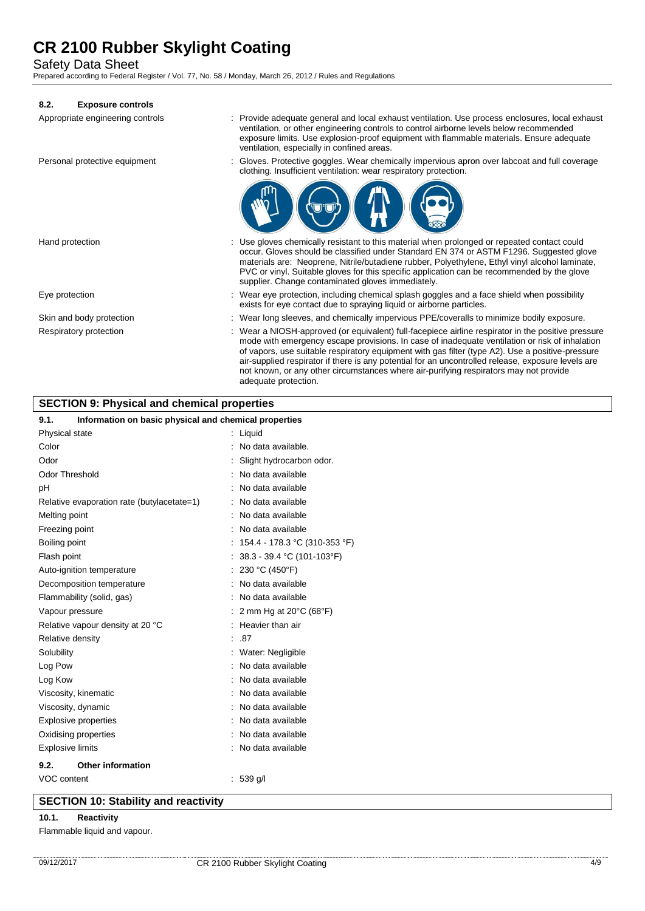Safety Data Sheet

Prepared according to Federal Register / Vol. 77, No. 58 / Monday, March 26, 2012 / Rules and Regulations

# **8.2. Exposure controls**

| Appropriate engineering controls | Provide adequate general and local exhaust ventilation. Use process enclosures, local exhaust<br>ventilation, or other engineering controls to control airborne levels below recommended<br>exposure limits. Use explosion-proof equipment with flammable materials. Ensure adequate<br>ventilation, especially in confined areas.                                                                                                                                                                                              |
|----------------------------------|---------------------------------------------------------------------------------------------------------------------------------------------------------------------------------------------------------------------------------------------------------------------------------------------------------------------------------------------------------------------------------------------------------------------------------------------------------------------------------------------------------------------------------|
| Personal protective equipment    | Gloves. Protective goggles. Wear chemically impervious apron over labooat and full coverage<br>clothing. Insufficient ventilation: wear respiratory protection.                                                                                                                                                                                                                                                                                                                                                                 |
|                                  |                                                                                                                                                                                                                                                                                                                                                                                                                                                                                                                                 |
| Hand protection                  | : Use gloves chemically resistant to this material when prolonged or repeated contact could<br>occur. Gloves should be classified under Standard EN 374 or ASTM F1296. Suggested glove<br>materials are: Neoprene, Nitrile/butadiene rubber, Polyethylene, Ethyl vinyl alcohol laminate,<br>PVC or vinyl. Suitable gloves for this specific application can be recommended by the glove<br>supplier. Change contaminated gloves immediately.                                                                                    |
| Eye protection                   | Wear eye protection, including chemical splash goggles and a face shield when possibility<br>exists for eye contact due to spraying liquid or airborne particles.                                                                                                                                                                                                                                                                                                                                                               |
| Skin and body protection         | : Wear long sleeves, and chemically impervious PPE/coveralls to minimize bodily exposure.                                                                                                                                                                                                                                                                                                                                                                                                                                       |
| Respiratory protection           | : Wear a NIOSH-approved (or equivalent) full-facepiece airline respirator in the positive pressure<br>mode with emergency escape provisions. In case of inadequate ventilation or risk of inhalation<br>of vapors, use suitable respiratory equipment with gas filter (type A2). Use a positive-pressure<br>air-supplied respirator if there is any potential for an uncontrolled release, exposure levels are<br>not known, or any other circumstances where air-purifying respirators may not provide<br>adequate protection. |

# **SECTION 9: Physical and chemical properties**

# **9.1. Information on basic physical and chemical properties**

| J.I.                    | <b>INTO MARKATI ON DASIC PHYSICAL AND CHEMICAL PLOPERTIES</b> |                                             |
|-------------------------|---------------------------------------------------------------|---------------------------------------------|
| Physical state          |                                                               | : Liquid                                    |
| Color                   |                                                               | No data available.                          |
| Odor                    |                                                               | Slight hydrocarbon odor.                    |
| <b>Odor Threshold</b>   |                                                               | No data available                           |
| pH                      |                                                               | No data available                           |
|                         | Relative evaporation rate (butylacetate=1)                    | No data available                           |
| Melting point           |                                                               | No data available                           |
| Freezing point          |                                                               | No data available                           |
| Boiling point           |                                                               | 154.4 - 178.3 °C (310-353 °F)               |
| Flash point             |                                                               | 38.3 - 39.4 °C (101-103°F)                  |
|                         | Auto-ignition temperature                                     | 230 °C (450°F)                              |
|                         | Decomposition temperature                                     | No data available                           |
|                         | Flammability (solid, gas)                                     | No data available                           |
| Vapour pressure         |                                                               | 2 mm Hg at $20^{\circ}$ C (68 $^{\circ}$ F) |
|                         | Relative vapour density at 20 °C                              | : Heavier than air                          |
| Relative density        |                                                               | .87                                         |
| Solubility              |                                                               | Water: Negligible                           |
| Log Pow                 |                                                               | No data available                           |
| Log Kow                 |                                                               | No data available                           |
|                         | Viscosity, kinematic                                          | No data available                           |
|                         | Viscosity, dynamic                                            | No data available                           |
|                         | <b>Explosive properties</b>                                   | No data available                           |
|                         | Oxidising properties                                          | No data available                           |
| <b>Explosive limits</b> |                                                               | No data available                           |
| 9.2.                    | <b>Other information</b>                                      |                                             |
| VOC content             |                                                               | $: 539$ g/l                                 |
|                         |                                                               |                                             |

# **SECTION 10: Stability and reactivity**

## **10.1. Reactivity**

Flammable liquid and vapour.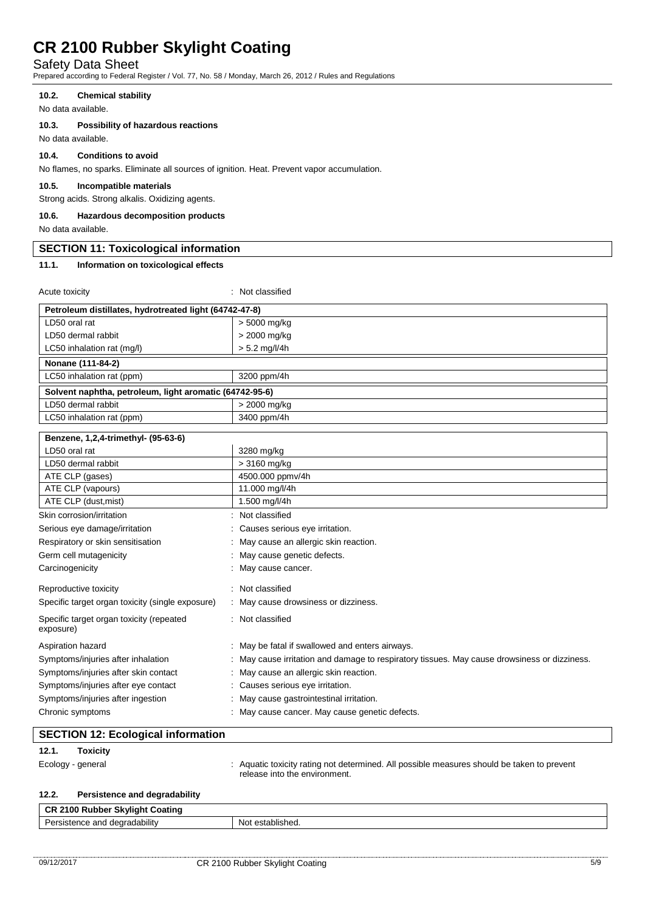Safety Data Sheet

Prepared according to Federal Register / Vol. 77, No. 58 / Monday, March 26, 2012 / Rules and Regulations

## **10.2. Chemical stability**

No data available.

# **10.3. Possibility of hazardous reactions**

No data available.

# **10.4. Conditions to avoid**

No flames, no sparks. Eliminate all sources of ignition. Heat. Prevent vapor accumulation.

## **10.5. Incompatible materials**

Strong acids. Strong alkalis. Oxidizing agents.

#### **10.6. Hazardous decomposition products**

No data available.

## **SECTION 11: Toxicological information**

#### **11.1. Information on toxicological effects**

Acute toxicity in the set of the set of the set of the set of the set of the set of the set of the set of the set of the set of the set of the set of the set of the set of the set of the set of the set of the set of the se

| Petroleum distillates, hydrotreated light (64742-47-8)  |                                                                                            |  |
|---------------------------------------------------------|--------------------------------------------------------------------------------------------|--|
| LD50 oral rat                                           | > 5000 mg/kg                                                                               |  |
| LD50 dermal rabbit                                      | > 2000 mg/kg                                                                               |  |
| LC50 inhalation rat (mg/l)                              | $> 5.2$ mg/l/4h                                                                            |  |
| Nonane (111-84-2)                                       |                                                                                            |  |
| LC50 inhalation rat (ppm)                               | 3200 ppm/4h                                                                                |  |
| Solvent naphtha, petroleum, light aromatic (64742-95-6) |                                                                                            |  |
| LD50 dermal rabbit                                      | > 2000 mg/kg                                                                               |  |
| LC50 inhalation rat (ppm)                               | 3400 ppm/4h                                                                                |  |
| Benzene, 1,2,4-trimethyl- (95-63-6)                     |                                                                                            |  |
| LD50 oral rat                                           | 3280 mg/kg                                                                                 |  |
| LD50 dermal rabbit                                      | > 3160 mg/kg                                                                               |  |
| ATE CLP (gases)                                         | 4500.000 ppmv/4h                                                                           |  |
| ATE CLP (vapours)                                       | 11.000 mg/l/4h                                                                             |  |
| ATE CLP (dust, mist)                                    | 1.500 mg/l/4h                                                                              |  |
| Skin corrosion/irritation                               | Not classified                                                                             |  |
| Serious eye damage/irritation                           | Causes serious eye irritation.                                                             |  |
| Respiratory or skin sensitisation                       | May cause an allergic skin reaction.                                                       |  |
| Germ cell mutagenicity                                  | May cause genetic defects.                                                                 |  |
| Carcinogenicity                                         | May cause cancer.                                                                          |  |
| Reproductive toxicity                                   | Not classified                                                                             |  |
| Specific target organ toxicity (single exposure)        | May cause drowsiness or dizziness.                                                         |  |
| Specific target organ toxicity (repeated<br>exposure)   | Not classified                                                                             |  |
| Aspiration hazard                                       | May be fatal if swallowed and enters airways.                                              |  |
| Symptoms/injuries after inhalation                      | May cause irritation and damage to respiratory tissues. May cause drowsiness or dizziness. |  |
| Symptoms/injuries after skin contact                    | May cause an allergic skin reaction.                                                       |  |
| Symptoms/injuries after eye contact                     | Causes serious eye irritation.                                                             |  |
| Symptoms/injuries after ingestion                       | May cause gastrointestinal irritation.                                                     |  |
| Chronic symptoms                                        | May cause cancer. May cause genetic defects.                                               |  |

# **SECTION 12: Ecological information**

# **12.1. Toxicity**

Ecology - general **interpretatal in the system of the system** of determined. All possible measures should be taken to prevent release into the environment.

## **12.2. Persistence and degradability**

| cЕ<br>100<br>Skvliaht Coatina<br>ъ.<br>Ruppe |                    |
|----------------------------------------------|--------------------|
| degradability<br>De<br>nce<br>sister<br>.    | <br>blished.<br>NΩ |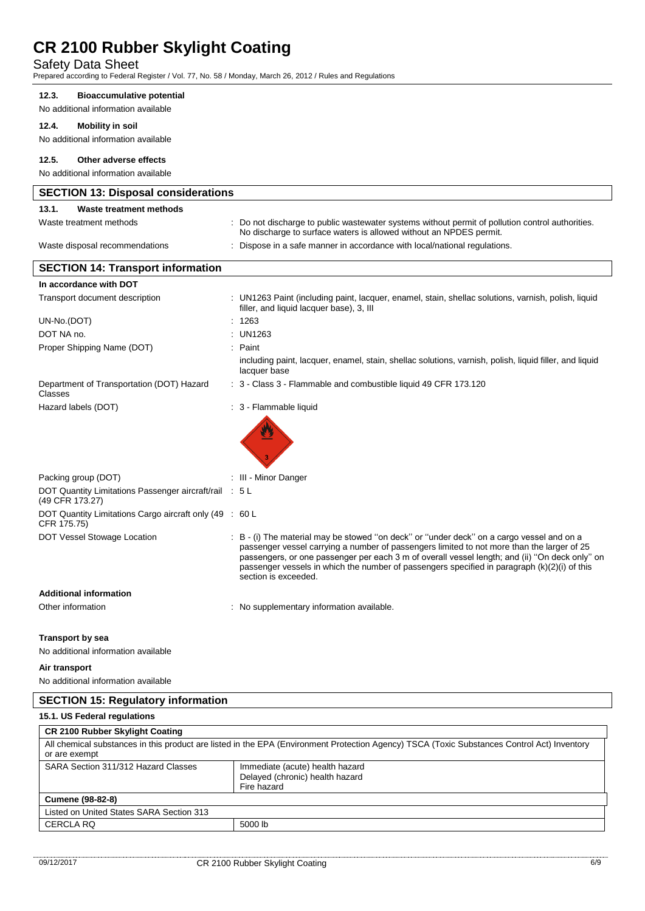# Safety Data Sheet

Prepared according to Federal Register / Vol. 77, No. 58 / Monday, March 26, 2012 / Rules and Regulations

## **12.3. Bioaccumulative potential**

No additional information available

## **12.4. Mobility in soil**

No additional information available

## **12.5. Other adverse effects**

No additional information available

| <b>SECTION 13: Disposal considerations</b>                                |                                                                                                                                                                                                                                                                                                                                                                                                                   |  |
|---------------------------------------------------------------------------|-------------------------------------------------------------------------------------------------------------------------------------------------------------------------------------------------------------------------------------------------------------------------------------------------------------------------------------------------------------------------------------------------------------------|--|
| 13.1.<br>Waste treatment methods                                          |                                                                                                                                                                                                                                                                                                                                                                                                                   |  |
| Waste treatment methods                                                   | Do not discharge to public wastewater systems without permit of pollution control authorities.<br>No discharge to surface waters is allowed without an NPDES permit.                                                                                                                                                                                                                                              |  |
| Waste disposal recommendations                                            | : Dispose in a safe manner in accordance with local/national regulations.                                                                                                                                                                                                                                                                                                                                         |  |
| <b>SECTION 14: Transport information</b>                                  |                                                                                                                                                                                                                                                                                                                                                                                                                   |  |
| In accordance with DOT                                                    |                                                                                                                                                                                                                                                                                                                                                                                                                   |  |
| Transport document description                                            | : UN1263 Paint (including paint, lacquer, enamel, stain, shellac solutions, varnish, polish, liquid<br>filler, and liquid lacquer base), 3, III                                                                                                                                                                                                                                                                   |  |
| UN-No.(DOT)                                                               | : 1263                                                                                                                                                                                                                                                                                                                                                                                                            |  |
| DOT NA no.                                                                | : UN1263                                                                                                                                                                                                                                                                                                                                                                                                          |  |
| Proper Shipping Name (DOT)                                                | Paint                                                                                                                                                                                                                                                                                                                                                                                                             |  |
|                                                                           | including paint, lacquer, enamel, stain, shellac solutions, varnish, polish, liquid filler, and liquid<br>lacquer base                                                                                                                                                                                                                                                                                            |  |
| Department of Transportation (DOT) Hazard<br>Classes                      | : 3 - Class 3 - Flammable and combustible liquid 49 CFR 173.120                                                                                                                                                                                                                                                                                                                                                   |  |
| Hazard labels (DOT)                                                       | : 3 - Flammable liquid                                                                                                                                                                                                                                                                                                                                                                                            |  |
|                                                                           |                                                                                                                                                                                                                                                                                                                                                                                                                   |  |
| Packing group (DOT)                                                       | : III - Minor Danger                                                                                                                                                                                                                                                                                                                                                                                              |  |
| DOT Quantity Limitations Passenger aircraft/rail : 5 L<br>(49 CFR 173.27) |                                                                                                                                                                                                                                                                                                                                                                                                                   |  |
| DOT Quantity Limitations Cargo aircraft only (49 : 60 L<br>CFR 175.75)    |                                                                                                                                                                                                                                                                                                                                                                                                                   |  |
| DOT Vessel Stowage Location                                               | : B - (i) The material may be stowed "on deck" or "under deck" on a cargo vessel and on a<br>passenger vessel carrying a number of passengers limited to not more than the larger of 25<br>passengers, or one passenger per each 3 m of overall vessel length; and (ii) "On deck only" on<br>passenger vessels in which the number of passengers specified in paragraph (k)(2)(i) of this<br>section is exceeded. |  |
| <b>Additional information</b>                                             |                                                                                                                                                                                                                                                                                                                                                                                                                   |  |
| Other information                                                         | : No supplementary information available.                                                                                                                                                                                                                                                                                                                                                                         |  |
| <b>Transport by sea</b>                                                   |                                                                                                                                                                                                                                                                                                                                                                                                                   |  |
| No additional information available                                       |                                                                                                                                                                                                                                                                                                                                                                                                                   |  |
| Air transport                                                             |                                                                                                                                                                                                                                                                                                                                                                                                                   |  |
| No additional information available                                       |                                                                                                                                                                                                                                                                                                                                                                                                                   |  |
| <b>SECTION 15: Regulatory information</b>                                 |                                                                                                                                                                                                                                                                                                                                                                                                                   |  |
| 15.1. US Federal regulations                                              |                                                                                                                                                                                                                                                                                                                                                                                                                   |  |
| <b>CR 2100 Rubber Skylight Coating</b>                                    |                                                                                                                                                                                                                                                                                                                                                                                                                   |  |
| or are exempt                                                             | All chemical substances in this product are listed in the EPA (Environment Protection Agency) TSCA (Toxic Substances Control Act) Inventory                                                                                                                                                                                                                                                                       |  |
| SARA Section 311/312 Hazard Classes                                       | Immediate (acute) health hazard<br>Delayed (chronic) health hazard<br>Fire hazard                                                                                                                                                                                                                                                                                                                                 |  |

**Cumene (98-82-8)** Listed on United States SARA Section 313 CERCLA RQ 5000 lb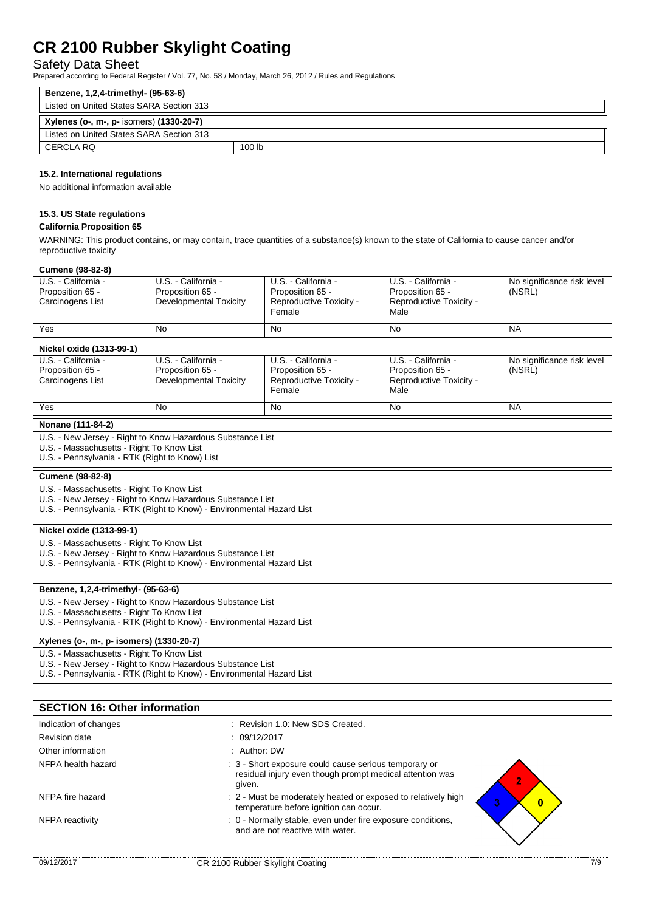# Safety Data Sheet

Prepared according to Federal Register / Vol. 77, No. 58 / Monday, March 26, 2012 / Rules and Regulations

| Benzene, 1,2,4-trimethyl- (95-63-6)      |        |  |  |  |
|------------------------------------------|--------|--|--|--|
| Listed on United States SARA Section 313 |        |  |  |  |
| Xylenes (o-, m-, p- isomers) (1330-20-7) |        |  |  |  |
| Listed on United States SARA Section 313 |        |  |  |  |
| CERCLA RQ                                | 100 lb |  |  |  |

# **15.2. International regulations**

No additional information available

# **15.3. US State regulations**

#### **California Proposition 65**

WARNING: This product contains, or may contain, trace quantities of a substance(s) known to the state of California to cause cancer and/or reproductive toxicity

| <b>Cumene (98-82-8)</b>                                                                                                                                                                                                 |                                                                          |                                                                              |                                                                            |                                      |  |  |  |
|-------------------------------------------------------------------------------------------------------------------------------------------------------------------------------------------------------------------------|--------------------------------------------------------------------------|------------------------------------------------------------------------------|----------------------------------------------------------------------------|--------------------------------------|--|--|--|
| U.S. - California -<br>Proposition 65 -<br>Carcinogens List                                                                                                                                                             | U.S. - California -<br>Proposition 65 -<br><b>Developmental Toxicity</b> | U.S. - California -<br>Proposition 65 -<br>Reproductive Toxicity -<br>Female | U.S. - California -<br>Proposition 65 -<br>Reproductive Toxicity -<br>Male | No significance risk level<br>(NSRL) |  |  |  |
| Yes                                                                                                                                                                                                                     | <b>No</b>                                                                | <b>No</b>                                                                    | <b>No</b>                                                                  | <b>NA</b>                            |  |  |  |
| Nickel oxide (1313-99-1)                                                                                                                                                                                                |                                                                          |                                                                              |                                                                            |                                      |  |  |  |
| U.S. California -<br>Proposition 65 -<br>Carcinogens List                                                                                                                                                               | U.S. - California -<br>Proposition 65 -<br><b>Developmental Toxicity</b> | U.S. - California -<br>Proposition 65 -<br>Reproductive Toxicity -<br>Female | U.S. - California -<br>Proposition 65 -<br>Reproductive Toxicity -<br>Male | No significance risk level<br>(NSRL) |  |  |  |
| Yes                                                                                                                                                                                                                     | <b>No</b>                                                                | <b>No</b>                                                                    | <b>No</b>                                                                  | <b>NA</b>                            |  |  |  |
| Nonane (111-84-2)                                                                                                                                                                                                       |                                                                          |                                                                              |                                                                            |                                      |  |  |  |
| U.S. - New Jersey - Right to Know Hazardous Substance List<br>U.S. - Massachusetts - Right To Know List<br>U.S. - Pennsylvania - RTK (Right to Know) List                                                               |                                                                          |                                                                              |                                                                            |                                      |  |  |  |
| <b>Cumene (98-82-8)</b>                                                                                                                                                                                                 |                                                                          |                                                                              |                                                                            |                                      |  |  |  |
| U.S. - Massachusetts - Right To Know List<br>U.S. - New Jersey - Right to Know Hazardous Substance List<br>U.S. - Pennsylvania - RTK (Right to Know) - Environmental Hazard List                                        |                                                                          |                                                                              |                                                                            |                                      |  |  |  |
| Nickel oxide (1313-99-1)                                                                                                                                                                                                |                                                                          |                                                                              |                                                                            |                                      |  |  |  |
| U.S. - Massachusetts - Right To Know List<br>U.S. - New Jersey - Right to Know Hazardous Substance List<br>U.S. - Pennsylvania - RTK (Right to Know) - Environmental Hazard List                                        |                                                                          |                                                                              |                                                                            |                                      |  |  |  |
|                                                                                                                                                                                                                         |                                                                          |                                                                              |                                                                            |                                      |  |  |  |
| Benzene, 1,2,4-trimethyl- (95-63-6)<br>U.S. - New Jersey - Right to Know Hazardous Substance List<br>U.S. - Massachusetts - Right To Know List<br>U.S. - Pennsylvania - RTK (Right to Know) - Environmental Hazard List |                                                                          |                                                                              |                                                                            |                                      |  |  |  |
| Xylenes (o-, m-, p- isomers) (1330-20-7)                                                                                                                                                                                |                                                                          |                                                                              |                                                                            |                                      |  |  |  |
| U.S. - Massachusetts - Right To Know List<br>U.S. - New Jersey - Right to Know Hazardous Substance List<br>U.S. - Pennsylvania - RTK (Right to Know) - Environmental Hazard List                                        |                                                                          |                                                                              |                                                                            |                                      |  |  |  |
|                                                                                                                                                                                                                         |                                                                          |                                                                              |                                                                            |                                      |  |  |  |
| <b>SECTION 16: Other information</b>                                                                                                                                                                                    |                                                                          |                                                                              |                                                                            |                                      |  |  |  |
| Indication of changes                                                                                                                                                                                                   | : Revision 1.0: New SDS Created.                                         |                                                                              |                                                                            |                                      |  |  |  |
| <b>Revision date</b>                                                                                                                                                                                                    |                                                                          | 09/12/2017                                                                   |                                                                            |                                      |  |  |  |
| Other information                                                                                                                                                                                                       | Author: DW                                                               |                                                                              |                                                                            |                                      |  |  |  |
| NFPA health hazard<br>: 3 - Short exposure could cause serious temporary or<br>residual injury even though prompt medical attention was<br>$\overline{2}$<br>given.                                                     |                                                                          |                                                                              |                                                                            |                                      |  |  |  |

temperature before ignition can occur.

and are not reactive with water.

NFPA fire hazard **in the state of the state of the moderately heated or exposed to relatively high**  $\cdot$ 

NFPA reactivity **interpretatal intervals of the SI** o - Normally stable, even under fire exposure conditions,

 $\overline{\mathbf{0}}$ 

ß